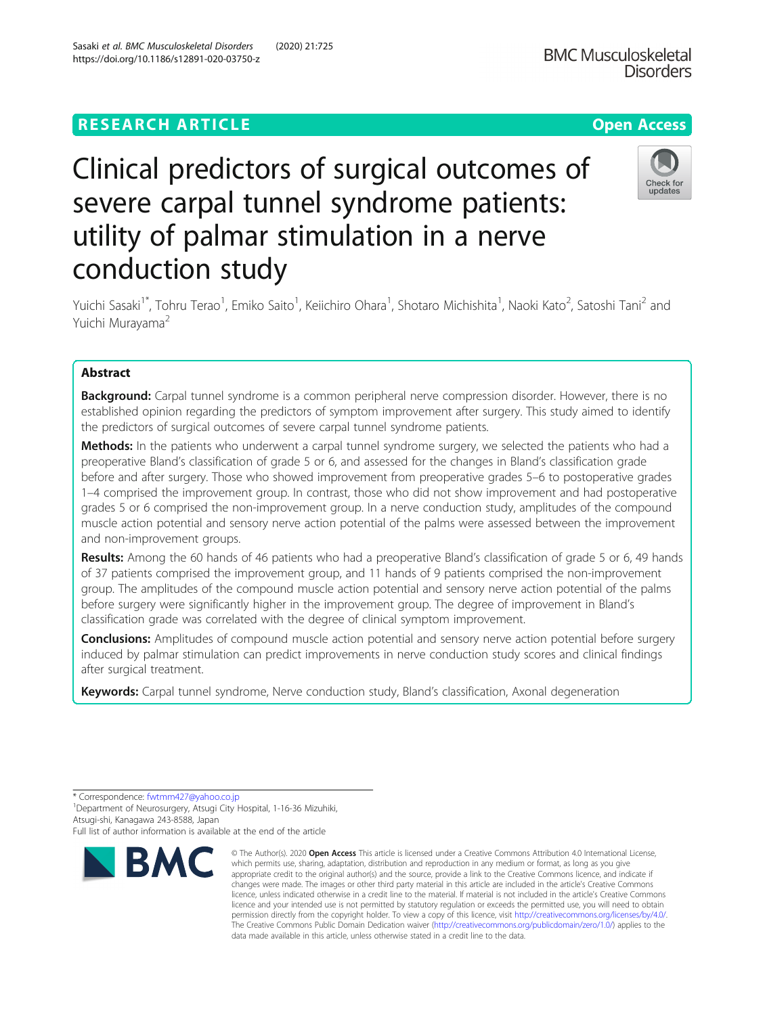# **RESEARCH ARTICLE Example 2014 12:30 The Contract of Contract ACCESS**

# Clinical predictors of surgical outcomes of severe carpal tunnel syndrome patients: utility of palmar stimulation in a nerve conduction study

Yuichi Sasaki<sup>1\*</sup>, Tohru Terao<sup>1</sup>, Emiko Saito<sup>1</sup>, Keiichiro Ohara<sup>1</sup>, Shotaro Michishita<sup>1</sup>, Naoki Kato<sup>2</sup>, Satoshi Tani<sup>2</sup> and Yuichi Murayama<sup>2</sup>

# Abstract

**Background:** Carpal tunnel syndrome is a common peripheral nerve compression disorder. However, there is no established opinion regarding the predictors of symptom improvement after surgery. This study aimed to identify the predictors of surgical outcomes of severe carpal tunnel syndrome patients.

Methods: In the patients who underwent a carpal tunnel syndrome surgery, we selected the patients who had a preoperative Bland's classification of grade 5 or 6, and assessed for the changes in Bland's classification grade before and after surgery. Those who showed improvement from preoperative grades 5–6 to postoperative grades 1–4 comprised the improvement group. In contrast, those who did not show improvement and had postoperative grades 5 or 6 comprised the non-improvement group. In a nerve conduction study, amplitudes of the compound muscle action potential and sensory nerve action potential of the palms were assessed between the improvement and non-improvement groups.

Results: Among the 60 hands of 46 patients who had a preoperative Bland's classification of grade 5 or 6, 49 hands of 37 patients comprised the improvement group, and 11 hands of 9 patients comprised the non-improvement group. The amplitudes of the compound muscle action potential and sensory nerve action potential of the palms before surgery were significantly higher in the improvement group. The degree of improvement in Bland's classification grade was correlated with the degree of clinical symptom improvement.

Conclusions: Amplitudes of compound muscle action potential and sensory nerve action potential before surgery induced by palmar stimulation can predict improvements in nerve conduction study scores and clinical findings after surgical treatment.

Keywords: Carpal tunnel syndrome, Nerve conduction study, Bland's classification, Axonal degeneration

**RM** 

<sup>1</sup> Department of Neurosurgery, Atsugi City Hospital, 1-16-36 Mizuhiki, Atsugi-shi, Kanagawa 243-8588, Japan

Full list of author information is available at the end of the article





Check for undates

<sup>\*</sup> Correspondence: [fwtmm427@yahoo.co.jp](mailto:fwtmm427@yahoo.co.jp) <sup>1</sup>

<sup>©</sup> The Author(s), 2020 **Open Access** This article is licensed under a Creative Commons Attribution 4.0 International License, which permits use, sharing, adaptation, distribution and reproduction in any medium or format, as long as you give appropriate credit to the original author(s) and the source, provide a link to the Creative Commons licence, and indicate if changes were made. The images or other third party material in this article are included in the article's Creative Commons licence, unless indicated otherwise in a credit line to the material. If material is not included in the article's Creative Commons licence and your intended use is not permitted by statutory regulation or exceeds the permitted use, you will need to obtain permission directly from the copyright holder. To view a copy of this licence, visit [http://creativecommons.org/licenses/by/4.0/.](http://creativecommons.org/licenses/by/4.0/) The Creative Commons Public Domain Dedication waiver [\(http://creativecommons.org/publicdomain/zero/1.0/](http://creativecommons.org/publicdomain/zero/1.0/)) applies to the data made available in this article, unless otherwise stated in a credit line to the data.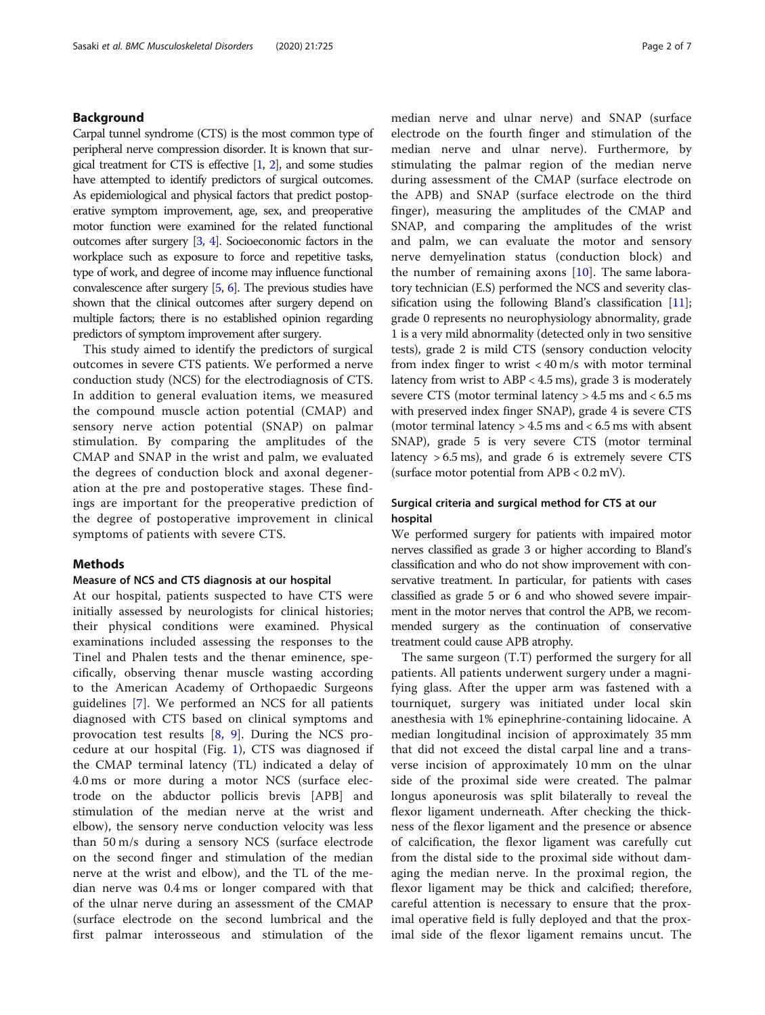# Background

Carpal tunnel syndrome (CTS) is the most common type of peripheral nerve compression disorder. It is known that surgical treatment for CTS is effective  $[1, 2]$  $[1, 2]$  $[1, 2]$  $[1, 2]$ , and some studies have attempted to identify predictors of surgical outcomes. As epidemiological and physical factors that predict postoperative symptom improvement, age, sex, and preoperative motor function were examined for the related functional outcomes after surgery [\[3,](#page-5-0) [4\]](#page-5-0). Socioeconomic factors in the workplace such as exposure to force and repetitive tasks, type of work, and degree of income may influence functional convalescence after surgery [[5](#page-5-0), [6\]](#page-5-0). The previous studies have shown that the clinical outcomes after surgery depend on multiple factors; there is no established opinion regarding predictors of symptom improvement after surgery.

This study aimed to identify the predictors of surgical outcomes in severe CTS patients. We performed a nerve conduction study (NCS) for the electrodiagnosis of CTS. In addition to general evaluation items, we measured the compound muscle action potential (CMAP) and sensory nerve action potential (SNAP) on palmar stimulation. By comparing the amplitudes of the CMAP and SNAP in the wrist and palm, we evaluated the degrees of conduction block and axonal degeneration at the pre and postoperative stages. These findings are important for the preoperative prediction of the degree of postoperative improvement in clinical symptoms of patients with severe CTS.

#### Methods

#### Measure of NCS and CTS diagnosis at our hospital

At our hospital, patients suspected to have CTS were initially assessed by neurologists for clinical histories; their physical conditions were examined. Physical examinations included assessing the responses to the Tinel and Phalen tests and the thenar eminence, specifically, observing thenar muscle wasting according to the American Academy of Orthopaedic Surgeons guidelines [\[7](#page-5-0)]. We performed an NCS for all patients diagnosed with CTS based on clinical symptoms and provocation test results [\[8](#page-5-0), [9\]](#page-5-0). During the NCS procedure at our hospital (Fig. [1\)](#page-2-0), CTS was diagnosed if the CMAP terminal latency (TL) indicated a delay of 4.0 ms or more during a motor NCS (surface electrode on the abductor pollicis brevis [APB] and stimulation of the median nerve at the wrist and elbow), the sensory nerve conduction velocity was less than 50 m/s during a sensory NCS (surface electrode on the second finger and stimulation of the median nerve at the wrist and elbow), and the TL of the median nerve was 0.4 ms or longer compared with that of the ulnar nerve during an assessment of the CMAP (surface electrode on the second lumbrical and the first palmar interosseous and stimulation of the median nerve and ulnar nerve) and SNAP (surface electrode on the fourth finger and stimulation of the median nerve and ulnar nerve). Furthermore, by stimulating the palmar region of the median nerve during assessment of the CMAP (surface electrode on the APB) and SNAP (surface electrode on the third finger), measuring the amplitudes of the CMAP and SNAP, and comparing the amplitudes of the wrist and palm, we can evaluate the motor and sensory nerve demyelination status (conduction block) and the number of remaining axons [[10\]](#page-6-0). The same laboratory technician (E.S) performed the NCS and severity classification using the following Bland's classification  $[11]$  $[11]$  $[11]$ ; grade 0 represents no neurophysiology abnormality, grade 1 is a very mild abnormality (detected only in two sensitive tests), grade 2 is mild CTS (sensory conduction velocity from index finger to wrist  $<$  40 m/s with motor terminal latency from wrist to ABP < 4.5 ms), grade 3 is moderately severe CTS (motor terminal latency > 4.5 ms and < 6.5 ms with preserved index finger SNAP), grade 4 is severe CTS (motor terminal latency  $> 4.5$  ms and  $< 6.5$  ms with absent SNAP), grade 5 is very severe CTS (motor terminal latency > 6.5 ms), and grade 6 is extremely severe CTS (surface motor potential from APB < 0.2 mV).

# Surgical criteria and surgical method for CTS at our hospital

We performed surgery for patients with impaired motor nerves classified as grade 3 or higher according to Bland's classification and who do not show improvement with conservative treatment. In particular, for patients with cases classified as grade 5 or 6 and who showed severe impairment in the motor nerves that control the APB, we recommended surgery as the continuation of conservative treatment could cause APB atrophy.

The same surgeon (T.T) performed the surgery for all patients. All patients underwent surgery under a magnifying glass. After the upper arm was fastened with a tourniquet, surgery was initiated under local skin anesthesia with 1% epinephrine-containing lidocaine. A median longitudinal incision of approximately 35 mm that did not exceed the distal carpal line and a transverse incision of approximately 10 mm on the ulnar side of the proximal side were created. The palmar longus aponeurosis was split bilaterally to reveal the flexor ligament underneath. After checking the thickness of the flexor ligament and the presence or absence of calcification, the flexor ligament was carefully cut from the distal side to the proximal side without damaging the median nerve. In the proximal region, the flexor ligament may be thick and calcified; therefore, careful attention is necessary to ensure that the proximal operative field is fully deployed and that the proximal side of the flexor ligament remains uncut. The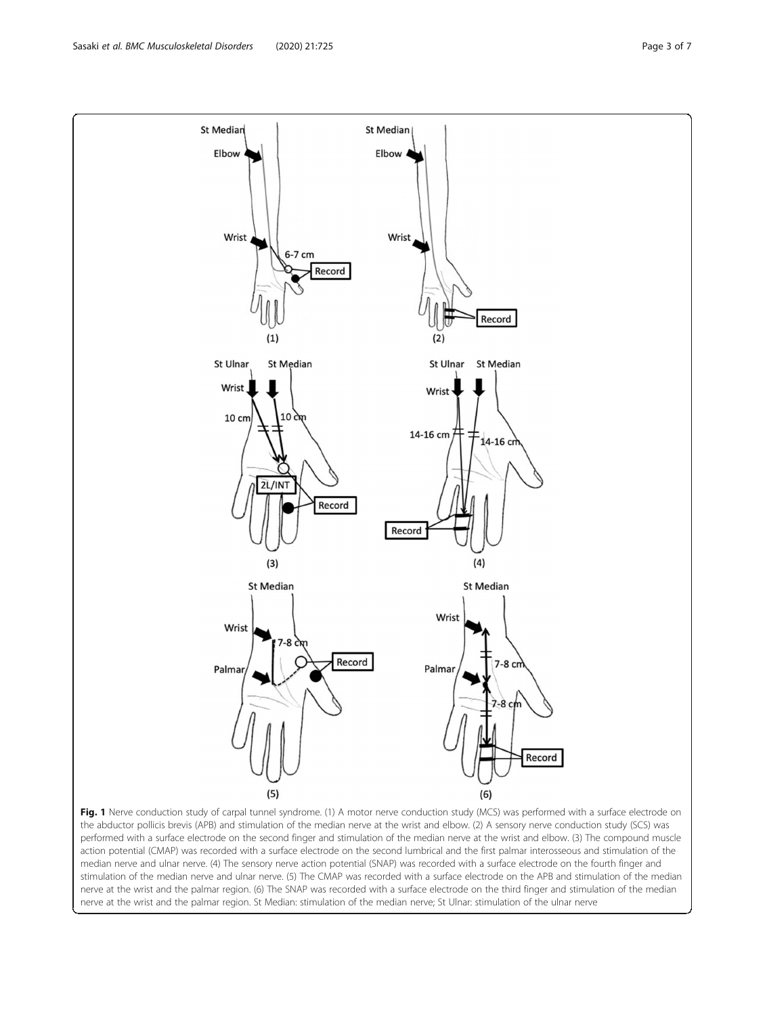<span id="page-2-0"></span>

the abductor pollicis brevis (APB) and stimulation of the median nerve at the wrist and elbow. (2) A sensory nerve conduction study (SCS) was performed with a surface electrode on the second finger and stimulation of the median nerve at the wrist and elbow. (3) The compound muscle action potential (CMAP) was recorded with a surface electrode on the second lumbrical and the first palmar interosseous and stimulation of the median nerve and ulnar nerve. (4) The sensory nerve action potential (SNAP) was recorded with a surface electrode on the fourth finger and stimulation of the median nerve and ulnar nerve. (5) The CMAP was recorded with a surface electrode on the APB and stimulation of the median nerve at the wrist and the palmar region. (6) The SNAP was recorded with a surface electrode on the third finger and stimulation of the median nerve at the wrist and the palmar region. St Median: stimulation of the median nerve; St Ulnar: stimulation of the ulnar nerve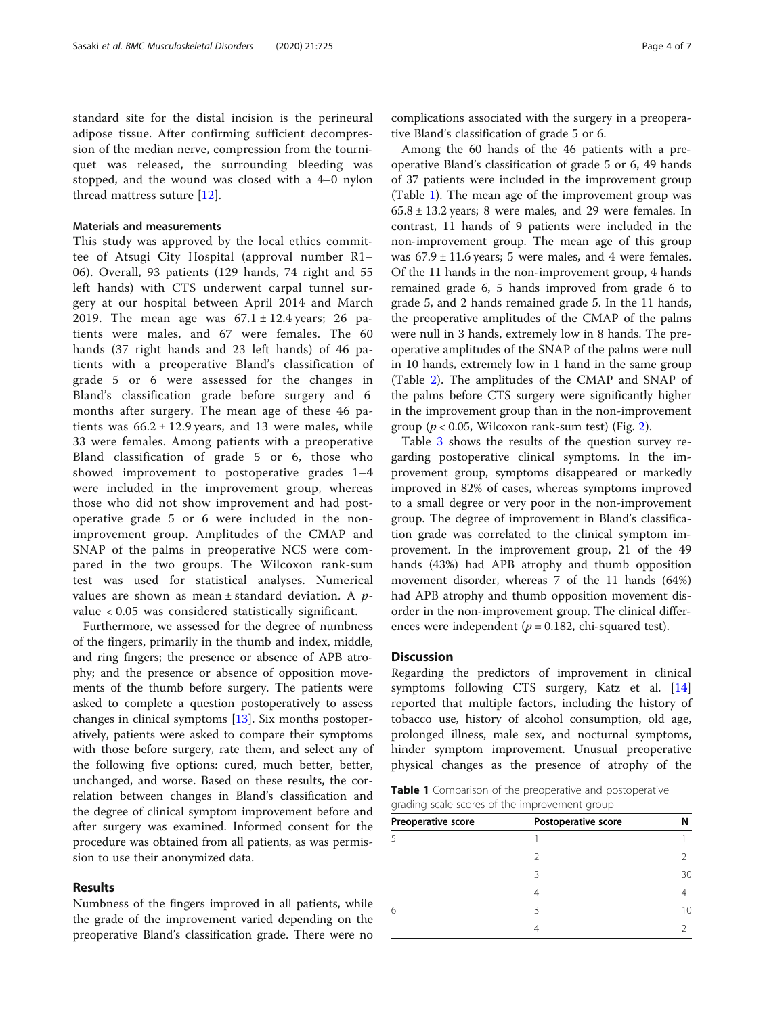standard site for the distal incision is the perineural adipose tissue. After confirming sufficient decompression of the median nerve, compression from the tourniquet was released, the surrounding bleeding was stopped, and the wound was closed with a 4–0 nylon thread mattress suture [[12\]](#page-6-0).

#### Materials and measurements

This study was approved by the local ethics committee of Atsugi City Hospital (approval number R1– 06). Overall, 93 patients (129 hands, 74 right and 55 left hands) with CTS underwent carpal tunnel surgery at our hospital between April 2014 and March 2019. The mean age was  $67.1 \pm 12.4$  years; 26 patients were males, and 67 were females. The 60 hands (37 right hands and 23 left hands) of 46 patients with a preoperative Bland's classification of grade 5 or 6 were assessed for the changes in Bland's classification grade before surgery and 6 months after surgery. The mean age of these 46 patients was  $66.2 \pm 12.9$  years, and 13 were males, while 33 were females. Among patients with a preoperative Bland classification of grade 5 or 6, those who showed improvement to postoperative grades 1–4 were included in the improvement group, whereas those who did not show improvement and had postoperative grade 5 or 6 were included in the nonimprovement group. Amplitudes of the CMAP and SNAP of the palms in preoperative NCS were compared in the two groups. The Wilcoxon rank-sum test was used for statistical analyses. Numerical values are shown as mean  $\pm$  standard deviation. A pvalue < 0.05 was considered statistically significant.

Furthermore, we assessed for the degree of numbness of the fingers, primarily in the thumb and index, middle, and ring fingers; the presence or absence of APB atrophy; and the presence or absence of opposition movements of the thumb before surgery. The patients were asked to complete a question postoperatively to assess changes in clinical symptoms [\[13](#page-6-0)]. Six months postoperatively, patients were asked to compare their symptoms with those before surgery, rate them, and select any of the following five options: cured, much better, better, unchanged, and worse. Based on these results, the correlation between changes in Bland's classification and the degree of clinical symptom improvement before and after surgery was examined. Informed consent for the procedure was obtained from all patients, as was permission to use their anonymized data.

#### Results

Numbness of the fingers improved in all patients, while the grade of the improvement varied depending on the preoperative Bland's classification grade. There were no complications associated with the surgery in a preoperative Bland's classification of grade 5 or 6.

Among the 60 hands of the 46 patients with a preoperative Bland's classification of grade 5 or 6, 49 hands of 37 patients were included in the improvement group (Table 1). The mean age of the improvement group was  $65.8 \pm 13.2$  years; 8 were males, and 29 were females. In contrast, 11 hands of 9 patients were included in the non-improvement group. The mean age of this group was  $67.9 \pm 11.6$  years; 5 were males, and 4 were females. Of the 11 hands in the non-improvement group, 4 hands remained grade 6, 5 hands improved from grade 6 to grade 5, and 2 hands remained grade 5. In the 11 hands, the preoperative amplitudes of the CMAP of the palms were null in 3 hands, extremely low in 8 hands. The preoperative amplitudes of the SNAP of the palms were null in 10 hands, extremely low in 1 hand in the same group (Table [2](#page-4-0)). The amplitudes of the CMAP and SNAP of the palms before CTS surgery were significantly higher in the improvement group than in the non-improvement group ( $p < 0.05$ , Wilcoxon rank-sum test) (Fig. [2](#page-5-0)).

Table [3](#page-5-0) shows the results of the question survey regarding postoperative clinical symptoms. In the improvement group, symptoms disappeared or markedly improved in 82% of cases, whereas symptoms improved to a small degree or very poor in the non-improvement group. The degree of improvement in Bland's classification grade was correlated to the clinical symptom improvement. In the improvement group, 21 of the 49 hands (43%) had APB atrophy and thumb opposition movement disorder, whereas 7 of the 11 hands (64%) had APB atrophy and thumb opposition movement disorder in the non-improvement group. The clinical differences were independent ( $p = 0.182$ , chi-squared test).

#### **Discussion**

Regarding the predictors of improvement in clinical symptoms following CTS surgery, Katz et al. [[14](#page-6-0)] reported that multiple factors, including the history of tobacco use, history of alcohol consumption, old age, prolonged illness, male sex, and nocturnal symptoms, hinder symptom improvement. Unusual preoperative physical changes as the presence of atrophy of the

Table 1 Comparison of the preoperative and postoperative grading scale scores of the improvement group

| Preoperative score | Postoperative score |    |
|--------------------|---------------------|----|
| 5                  |                     |    |
|                    |                     |    |
|                    |                     | 30 |
|                    |                     |    |
| 6                  | ς                   | 10 |
|                    |                     |    |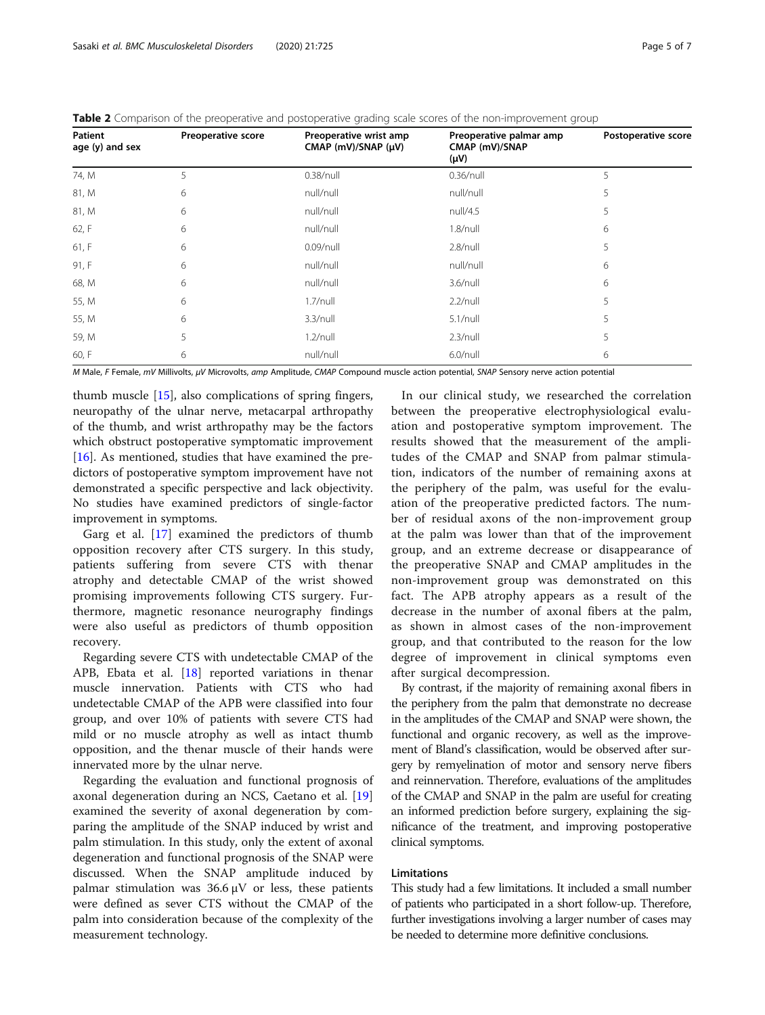<span id="page-4-0"></span>

|  |  | <b>Table 2</b> Comparison of the preoperative and postoperative grading scale scores of the non-improvement group |  |
|--|--|-------------------------------------------------------------------------------------------------------------------|--|
|  |  |                                                                                                                   |  |

| Patient<br>age (y) and sex | Preoperative score | Preoperative wrist amp<br>CMAP $(mV)/SNAP$ $(\mu V)$ | Preoperative palmar amp<br>CMAP (mV)/SNAP<br>$(\mu V)$ | <b>Postoperative score</b><br>5 |  |
|----------------------------|--------------------|------------------------------------------------------|--------------------------------------------------------|---------------------------------|--|
| 74, M                      | 5                  | $0.38/n$ ull                                         | 0.36/null                                              |                                 |  |
| 81, M                      | 6                  | null/null                                            | null/null                                              | 5                               |  |
| 81, M                      | 6                  | null/null                                            | null/4.5                                               | 5                               |  |
| 62, F                      | 6                  | null/null                                            | 1.8/null                                               | 6                               |  |
| 61, F                      | 6                  | 0.09/null                                            | 2.8/null                                               | 5                               |  |
| 91, F                      | 6                  | null/null                                            | null/null                                              | 6                               |  |
| 68, M                      | 6                  | null/null                                            | 3.6/null                                               | 6                               |  |
| 55, M                      | 6                  | 1.7/null                                             | 2.2/null                                               | 5                               |  |
| 55, M                      | 6                  | 3.3/null                                             | 5.1/null                                               | 5                               |  |
| 59, M                      | 5                  | 1.2/null                                             | 2.3/null                                               | 5                               |  |
| 60, F                      | 6                  | null/null                                            | 6.0/null                                               | 6                               |  |

M Male, F Female, mV Millivolts, μV Microvolts, amp Amplitude, CMAP Compound muscle action potential, SNAP Sensory nerve action potential

thumb muscle [[15](#page-6-0)], also complications of spring fingers, neuropathy of the ulnar nerve, metacarpal arthropathy of the thumb, and wrist arthropathy may be the factors which obstruct postoperative symptomatic improvement [ $16$ ]. As mentioned, studies that have examined the predictors of postoperative symptom improvement have not demonstrated a specific perspective and lack objectivity. No studies have examined predictors of single-factor improvement in symptoms.

Garg et al. [[17\]](#page-6-0) examined the predictors of thumb opposition recovery after CTS surgery. In this study, patients suffering from severe CTS with thenar atrophy and detectable CMAP of the wrist showed promising improvements following CTS surgery. Furthermore, magnetic resonance neurography findings were also useful as predictors of thumb opposition recovery.

Regarding severe CTS with undetectable CMAP of the APB, Ebata et al.  $[18]$  reported variations in thenar muscle innervation. Patients with CTS who had undetectable CMAP of the APB were classified into four group, and over 10% of patients with severe CTS had mild or no muscle atrophy as well as intact thumb opposition, and the thenar muscle of their hands were innervated more by the ulnar nerve.

Regarding the evaluation and functional prognosis of axonal degeneration during an NCS, Caetano et al. [[19](#page-6-0)] examined the severity of axonal degeneration by comparing the amplitude of the SNAP induced by wrist and palm stimulation. In this study, only the extent of axonal degeneration and functional prognosis of the SNAP were discussed. When the SNAP amplitude induced by palmar stimulation was  $36.6 \mu$ V or less, these patients were defined as sever CTS without the CMAP of the palm into consideration because of the complexity of the measurement technology.

In our clinical study, we researched the correlation between the preoperative electrophysiological evaluation and postoperative symptom improvement. The results showed that the measurement of the amplitudes of the CMAP and SNAP from palmar stimulation, indicators of the number of remaining axons at the periphery of the palm, was useful for the evaluation of the preoperative predicted factors. The number of residual axons of the non-improvement group at the palm was lower than that of the improvement group, and an extreme decrease or disappearance of the preoperative SNAP and CMAP amplitudes in the non-improvement group was demonstrated on this fact. The APB atrophy appears as a result of the decrease in the number of axonal fibers at the palm, as shown in almost cases of the non-improvement group, and that contributed to the reason for the low degree of improvement in clinical symptoms even after surgical decompression.

By contrast, if the majority of remaining axonal fibers in the periphery from the palm that demonstrate no decrease in the amplitudes of the CMAP and SNAP were shown, the functional and organic recovery, as well as the improvement of Bland's classification, would be observed after surgery by remyelination of motor and sensory nerve fibers and reinnervation. Therefore, evaluations of the amplitudes of the CMAP and SNAP in the palm are useful for creating an informed prediction before surgery, explaining the significance of the treatment, and improving postoperative clinical symptoms.

## Limitations

This study had a few limitations. It included a small number of patients who participated in a short follow-up. Therefore, further investigations involving a larger number of cases may be needed to determine more definitive conclusions.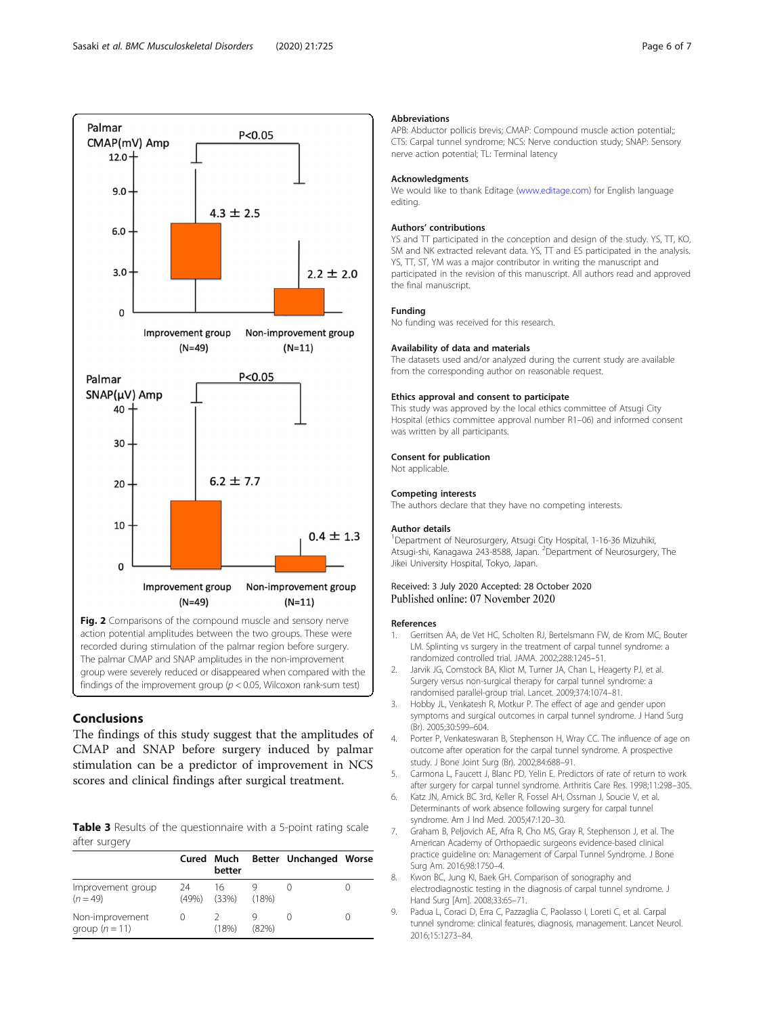<span id="page-5-0"></span>

Fig. 2 Comparisons of the compound muscle and sensory nerve action potential amplitudes between the two groups. These were recorded during stimulation of the palmar region before surgery. The palmar CMAP and SNAP amplitudes in the non-improvement group were severely reduced or disappeared when compared with the findings of the improvement group ( $p < 0.05$ , Wilcoxon rank-sum test)

### Conclusions

The findings of this study suggest that the amplitudes of CMAP and SNAP before surgery induced by palmar stimulation can be a predictor of improvement in NCS scores and clinical findings after surgical treatment.

**Table 3** Results of the questionnaire with a 5-point rating scale after surgery

|                                     |             | Cured Much<br>better |       | Better Unchanged Worse |  |
|-------------------------------------|-------------|----------------------|-------|------------------------|--|
| Improvement group<br>$(n = 49)$     | 24<br>(49%) | 16<br>(33%)          | (18%) |                        |  |
| Non-improvement<br>group $(n = 11)$ |             | (18%)                | (82%) |                        |  |

#### Abbreviations

APB: Abductor pollicis brevis; CMAP: Compound muscle action potential;; CTS: Carpal tunnel syndrome; NCS: Nerve conduction study; SNAP: Sensory nerve action potential; TL: Terminal latency

#### Acknowledgments

We would like to thank Editage [\(www.editage.com\)](http://www.editage.com) for English language editing.

#### Authors' contributions

YS and TT participated in the conception and design of the study. YS, TT, KO, SM and NK extracted relevant data. YS, TT and ES participated in the analysis. YS, TT, ST, YM was a major contributor in writing the manuscript and participated in the revision of this manuscript. All authors read and approved the final manuscript.

#### Funding

No funding was received for this research.

#### Availability of data and materials

The datasets used and/or analyzed during the current study are available from the corresponding author on reasonable request.

#### Ethics approval and consent to participate

This study was approved by the local ethics committee of Atsugi City Hospital (ethics committee approval number R1–06) and informed consent was written by all participants.

#### Consent for publication

Not applicable.

#### Competing interests

The authors declare that they have no competing interests.

#### Author details

<sup>1</sup>Department of Neurosurgery, Atsugi City Hospital, 1-16-36 Mizuhiki, Atsugi-shi, Kanagawa 243-8588, Japan. <sup>2</sup>Department of Neurosurgery, The Jikei University Hospital, Tokyo, Japan.

#### Received: 3 July 2020 Accepted: 28 October 2020 Published online: 07 November 2020

#### References

- 1. Gerritsen AA, de Vet HC, Scholten RJ, Bertelsmann FW, de Krom MC, Bouter LM. Splinting vs surgery in the treatment of carpal tunnel syndrome: a randomized controlled trial. JAMA. 2002;288:1245–51.
- 2. Jarvik JG, Comstock BA, Kliot M, Turner JA, Chan L, Heagerty PJ, et al. Surgery versus non-surgical therapy for carpal tunnel syndrome: a randomised parallel-group trial. Lancet. 2009;374:1074–81.
- 3. Hobby JL, Venkatesh R, Motkur P. The effect of age and gender upon symptoms and surgical outcomes in carpal tunnel syndrome. J Hand Surg (Br). 2005;30:599–604.
- 4. Porter P, Venkateswaran B, Stephenson H, Wray CC. The influence of age on outcome after operation for the carpal tunnel syndrome. A prospective study. J Bone Joint Surg (Br). 2002;84:688–91.
- 5. Carmona L, Faucett J, Blanc PD, Yelin E. Predictors of rate of return to work after surgery for carpal tunnel syndrome. Arthritis Care Res. 1998;11:298–305.
- 6. Katz JN, Amick BC 3rd, Keller R, Fossel AH, Ossman J, Soucie V, et al. Determinants of work absence following surgery for carpal tunnel syndrome. Am J Ind Med. 2005;47:120–30.
- 7. Graham B, Peljovich AE, Afra R, Cho MS, Gray R, Stephenson J, et al. The American Academy of Orthopaedic surgeons evidence-based clinical practice guideline on: Management of Carpal Tunnel Syndrome. J Bone Surg Am. 2016;98:1750–4.
- 8. Kwon BC, Jung KI, Baek GH. Comparison of sonography and electrodiagnostic testing in the diagnosis of carpal tunnel syndrome. J Hand Surg [Am]. 2008;33:65–71.
- 9. Padua L, Coraci D, Erra C, Pazzaglia C, Paolasso I, Loreti C, et al. Carpal tunnel syndrome: clinical features, diagnosis, management. Lancet Neurol. 2016;15:1273–84.